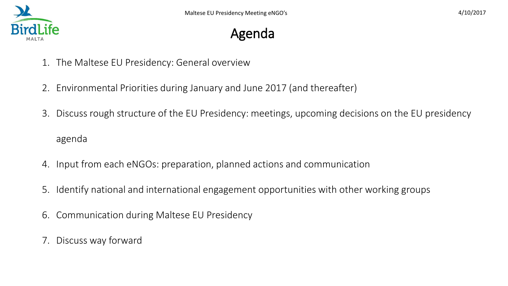# Agenda

- 1. The Maltese EU Presidency: General overview
- 2. Environmental Priorities during January and June 2017 (and thereafter)
- 3. Discuss rough structure of the EU Presidency: meetings, upcoming decisions on the EU presidency agenda
- 4. Input from each eNGOs: preparation, planned actions and communication
- 5. Identify national and international engagement opportunities with other working groups
- 6. Communication during Maltese EU Presidency
- 7. Discuss way forward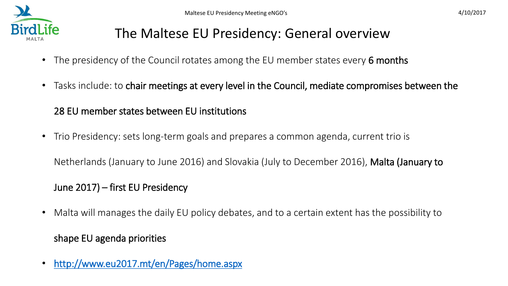

### The Maltese EU Presidency: General overview

- The presidency of the Council rotates among the EU member states every 6 months
- Tasks include: to chair meetings at every level in the Council, mediate compromises between the

#### 28 EU member states between EU institutions

• Trio Presidency: sets long-term goals and prepares a common agenda, current trio is

Netherlands (January to June 2016) and Slovakia (July to December 2016), Malta (January to

#### June 2017) – first EU Presidency

- Malta will manages the daily EU policy debates, and to a certain extent has the possibility to shape EU agenda priorities
- <http://www.eu2017.mt/en/Pages/home.aspx>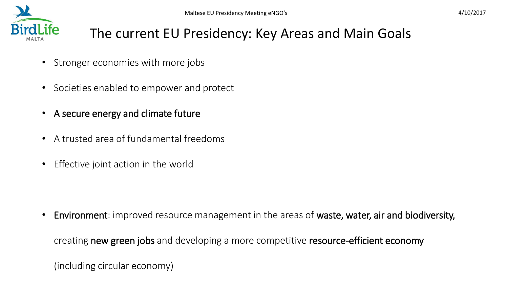

### The current EU Presidency: Key Areas and Main Goals

- Stronger economies with more jobs
- Societies enabled to empower and protect
- A secure energy and climate future
- A trusted area of fundamental freedoms
- Effective joint action in the world

• Environment: improved resource management in the areas of waste, water, air and biodiversity,

creating new green jobs and developing a more competitive resource-efficient economy

(including circular economy)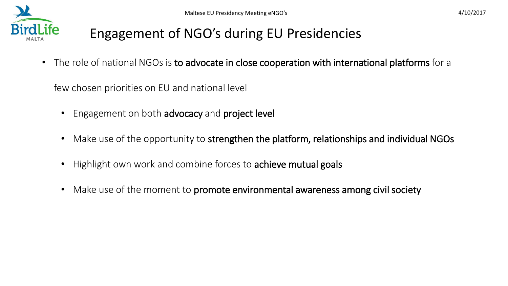# Engagement of NGO's during EU Presidencies

• The role of national NGOs is to advocate in close cooperation with international platforms for a

few chosen priorities on EU and national level

- Engagement on both advocacy and project level
- Make use of the opportunity to strengthen the platform, relationships and individual NGOs
- Highlight own work and combine forces to achieve mutual goals
- Make use of the moment to promote environmental awareness among civil society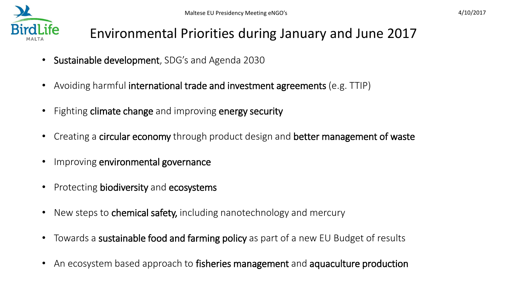

### Environmental Priorities during January and June 2017

- Sustainable development, SDG's and Agenda 2030
- Avoiding harmful international trade and investment agreements (e.g. TTIP)
- Fighting climate change and improving energy security
- Creating a circular economy through product design and better management of waste
- Improving environmental governance
- Protecting biodiversity and ecosystems
- New steps to chemical safety, including nanotechnology and mercury
- Towards a sustainable food and farming policy as part of a new EU Budget of results
- An ecosystem based approach to fisheries management and aquaculture production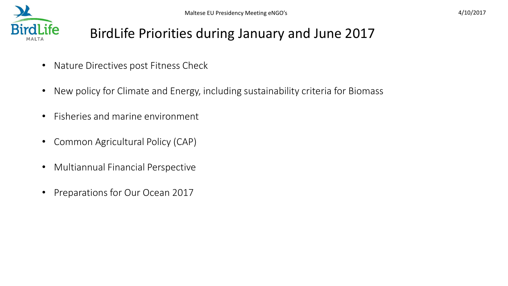# BirdLife Priorities during January and June 2017

- Nature Directives post Fitness Check
- New policy for Climate and Energy, including sustainability criteria for Biomass
- Fisheries and marine environment
- Common Agricultural Policy (CAP)
- Multiannual Financial Perspective
- Preparations for Our Ocean 2017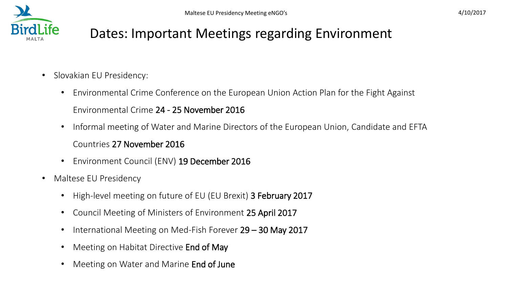

- Slovakian EU Presidency:
	- Environmental Crime Conference on the European Union Action Plan for the Fight Against Environmental Crime 24 - 25 November 2016
	- Informal meeting of Water and Marine Directors of the European Union, Candidate and EFTA Countries 27 November 2016
	- Environment Council (ENV) 19 December 2016
- Maltese EU Presidency
	- High-level meeting on future of EU (EU Brexit) 3 February 2017
	- Council Meeting of Ministers of Environment 25 April 2017
	- International Meeting on Med-Fish Forever 29 30 May 2017
	- Meeting on Habitat Directive End of May
	- Meeting on Water and Marine **End of June**